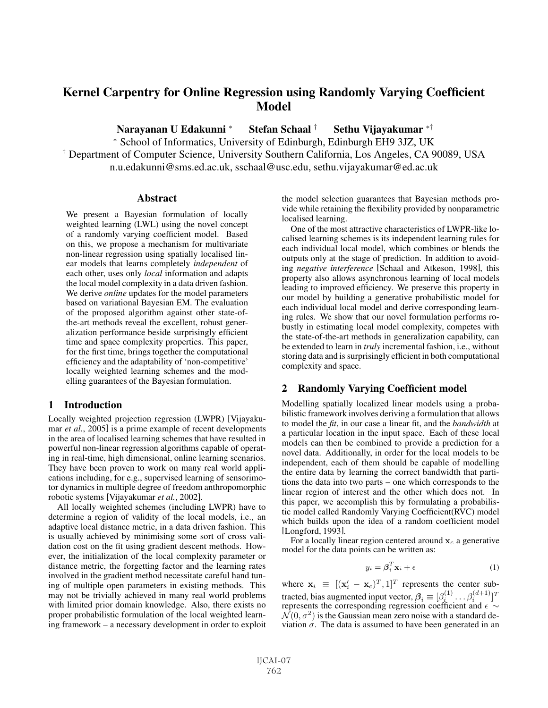# Kernel Carpentry for Online Regression using Randomly Varying Coefficient Model

Narayanan U Edakunni <sup>∗</sup> Stefan Schaal † Sethu Vijayakumar ∗†

<sup>∗</sup> School of Informatics, University of Edinburgh, Edinburgh EH9 3JZ, UK

† Department of Computer Science, University Southern California, Los Angeles, CA 90089, USA n.u.edakunni@sms.ed.ac.uk, sschaal@usc.edu, sethu.vijayakumar@ed.ac.uk

#### **Abstract**

We present a Bayesian formulation of locally weighted learning (LWL) using the novel concept of a randomly varying coefficient model. Based on this, we propose a mechanism for multivariate non-linear regression using spatially localised linear models that learns completely *independent* of each other, uses only *local* information and adapts the local model complexity in a data driven fashion. We derive *online* updates for the model parameters based on variational Bayesian EM. The evaluation of the proposed algorithm against other state-ofthe-art methods reveal the excellent, robust generalization performance beside surprisingly efficient time and space complexity properties. This paper, for the first time, brings together the computational efficiency and the adaptability of 'non-competitive' locally weighted learning schemes and the modelling guarantees of the Bayesian formulation.

## 1 Introduction

Locally weighted projection regression (LWPR) [Vijayakumar *et al.*, 2005] is a prime example of recent developments in the area of localised learning schemes that have resulted in powerful non-linear regression algorithms capable of operating in real-time, high dimensional, online learning scenarios. They have been proven to work on many real world applications including, for e.g., supervised learning of sensorimotor dynamics in multiple degree of freedom anthropomorphic robotic systems [Vijayakumar *et al.*, 2002].

All locally weighted schemes (including LWPR) have to determine a region of validity of the local models, i.e., an adaptive local distance metric, in a data driven fashion. This is usually achieved by minimising some sort of cross validation cost on the fit using gradient descent methods. However, the initialization of the local complexity parameter or distance metric, the forgetting factor and the learning rates involved in the gradient method necessitate careful hand tuning of multiple open parameters in existing methods. This may not be trivially achieved in many real world problems with limited prior domain knowledge. Also, there exists no proper probabilistic formulation of the local weighted learning framework – a necessary development in order to exploit the model selection guarantees that Bayesian methods provide while retaining the flexibility provided by nonparametric localised learning.

One of the most attractive characteristics of LWPR-like localised learning schemes is its independent learning rules for each individual local model, which combines or blends the outputs only at the stage of prediction. In addition to avoiding *negative interference* [Schaal and Atkeson, 1998], this property also allows asynchronous learning of local models leading to improved efficiency. We preserve this property in our model by building a generative probabilistic model for each individual local model and derive corresponding learning rules. We show that our novel formulation performs robustly in estimating local model complexity, competes with the state-of-the-art methods in generalization capability, can be extended to learn in *truly* incremental fashion, i.e., without storing data and is surprisingly efficient in both computational complexity and space.

# 2 Randomly Varying Coefficient model

Modelling spatially localized linear models using a probabilistic framework involves deriving a formulation that allows to model the *fit*, in our case a linear fit, and the *bandwidth* at a particular location in the input space. Each of these local models can then be combined to provide a prediction for a novel data. Additionally, in order for the local models to be independent, each of them should be capable of modelling the entire data by learning the correct bandwidth that partitions the data into two parts – one which corresponds to the linear region of interest and the other which does not. In this paper, we accomplish this by formulating a probabilistic model called Randomly Varying Coefficient(RVC) model which builds upon the idea of a random coefficient model [Longford, 1993].

For a locally linear region centered around  $\mathbf{x}_c$  a generative model for the data points can be written as:

$$
y_i = \boldsymbol{\beta}_i^T \mathbf{x}_i + \boldsymbol{\epsilon}
$$
 (1)

where  $\mathbf{x}_i \equiv [(\mathbf{x}_i' - \mathbf{x}_c)^T, 1]^T$  represents the center subtracted, bias augmented input vector,  $\beta_i \equiv [\beta_i^{(1)} \dots \beta_i^{(d+1)}]^T$ represents the corresponding regression coefficient and  $\epsilon \sim$  $\mathcal{N}(0, \sigma^2)$  is the Gaussian mean zero noise with a standard deviation  $\sigma$ . The data is assumed to have been generated in an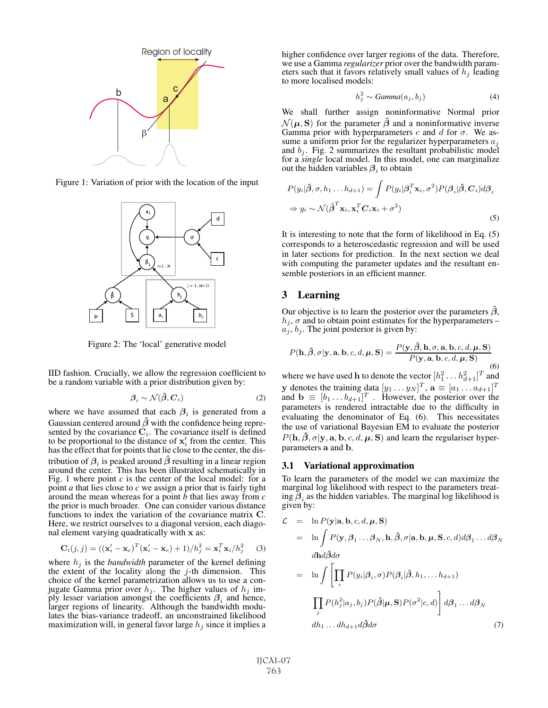

Figure 1: Variation of prior with the location of the input



Figure 2: The 'local' generative model

IID fashion. Crucially, we allow the regression coefficient to be a random variable with a prior distribution given by:

$$
\boldsymbol{\beta}_i \sim \mathcal{N}(\hat{\boldsymbol{\beta}}, \boldsymbol{C}_i) \tag{2}
$$

where we have assumed that each  $\beta_i$  is generated from a Gaussian centered around  $\hat{\beta}$  with the confidence being represented by the covariance  $C_i$ . The covariance itself is defined to be proportional to the distance of  $x'_i$  from the center. This has the effect that for points that lie close to the center, the distribution of  $\beta$ <sub>i</sub> is peaked around  $\hat{\beta}$  resulting in a linear region around the center. This has been illustrated schematically in Fig. 1 where point *c* is the center of the local model: for a point *a* that lies close to *c* we assign a prior that is fairly tight around the mean whereas for a point *<sup>b</sup>* that lies away from *<sup>c</sup>* the prior is much broader. One can consider various distance functions to index the variation of the covariance matrix **<sup>C</sup>**. Here, we restrict ourselves to a diagonal version, each diagonal element varying quadratically with **x** as:

$$
\mathbf{C}_{i}(j,j) = ((\mathbf{x}_{i}^{\'} - \mathbf{x}_{c})^{T} (\mathbf{x}_{i}^{\'} - \mathbf{x}_{c}) + 1) / h_{j}^{2} = \mathbf{x}_{i}^{T} \mathbf{x}_{i} / h_{j}^{2}
$$
 (3)

where  $h_j$  is the *bandwidth* parameter of the kernel defining the extent of the locality along the  $j$ -th dimension. This choice of the kernel parametrization allows us to use a conjugate Gamma prior over  $h_j$ . The higher values of  $h_j$  imply lesser variation amongst the coefficients  $\beta_i$  and hence, larger regions of linearity. Although the bandwidth modulates the bias-variance tradeoff, an unconstrained likelihood maximization will, in general favor large  $h_i$  since it implies a higher confidence over larger regions of the data. Therefore, we use a Gamma *regularizer* prior over the bandwidth parameters such that it favors relatively small values of  $h_i$  leading to more localised models:

$$
h_j^2 \sim Gamma(a_j, b_j) \tag{4}
$$

We shall further assign noninformative Normal prior  $\mathcal{N}(\mu, S)$  for the parameter  $\hat{\beta}$  and a noninformative inverse Gamma prior with hyperparameters c and d for  $\sigma$ . We assume a uniform prior for the regularizer hyperparameters  $a_j$ and  $b_j$ . Fig. 2 summarizes the resultant probabilistic model for a *single* local model. In this model, one can marginalize out the hidden variables  $\beta_i$  to obtain

$$
P(y_i|\hat{\boldsymbol{\beta}}, \sigma, h_1 \dots h_{d+1}) = \int P(y_i|\boldsymbol{\beta}_i^T \mathbf{x}_i, \sigma^2) P(\boldsymbol{\beta}_i|\hat{\boldsymbol{\beta}}, \boldsymbol{C}_i) d\boldsymbol{\beta}_i
$$
  
\n
$$
\Rightarrow y_i \sim \mathcal{N}(\hat{\boldsymbol{\beta}}^T \mathbf{x}_i, \mathbf{x}_i^T \boldsymbol{C}_i \mathbf{x}_i + \sigma^2)
$$
\n(5)

It is interesting to note that the form of likelihood in Eq. (5) corresponds to a heteroscedastic regression and will be used in later sections for prediction. In the next section we deal with computing the parameter updates and the resultant ensemble posteriors in an efficient manner.

### 3 Learning

Our objective is to learn the posterior over the parameters  $\beta$ ,  $h_j$ ,  $\sigma$  and to obtain point estimates for the hyperparameters –  $a_j, b_j$ . The joint posterior is given by:

$$
P(\mathbf{h}, \hat{\boldsymbol{\beta}}, \sigma | \mathbf{y}, \mathbf{a}, \mathbf{b}, c, d, \boldsymbol{\mu}, \mathbf{S}) = \frac{P(\mathbf{y}, \hat{\boldsymbol{\beta}}, \mathbf{h}, \sigma, \mathbf{a}, \mathbf{b}, c, d, \boldsymbol{\mu}, \mathbf{S})}{P(\mathbf{y}, \mathbf{a}, \mathbf{b}, c, d, \boldsymbol{\mu}, \mathbf{S})}
$$
(6)

where we have used **h** to denote the vector  $[h_1^2 \tldots h_{d+1}^2]^T$  and **y** denotes the training data  $[y_1 \dots y_N]^T$ ,  $\mathbf{a} \equiv [a_1 \dots a_{d+1}]^T$ and  $\mathbf{b} \equiv [b_1 \dots b_{d+1}]^T$ . However, the posterior over the parameters is rendered intractable due to the difficulty in evaluating the denominator of Eq. (6). This necessitates the use of variational Bayesian EM to evaluate the posterior  $P(\mathbf{h}, \hat{\boldsymbol{\beta}}, \sigma | \mathbf{y}, \mathbf{a}, \mathbf{b}, c, d, \boldsymbol{\mu}, \mathbf{S})$  and learn the regulariser hyperparameters **a** and **b**.

#### 3.1 Variational approximation

To learn the parameters of the model we can maximize the marginal log likelihood with respect to the parameters treating  $\beta_i$  as the hidden variables. The marginal log likelihood is given by:

$$
\mathcal{L} = \ln P(\mathbf{y}|\mathbf{a}, \mathbf{b}, c, d, \boldsymbol{\mu}, \mathbf{S})
$$
  
\n
$$
= \ln \int P(\mathbf{y}, \beta_1 \dots \beta_N, \mathbf{h}, \hat{\beta}, \sigma | \mathbf{a}, \mathbf{b}, \boldsymbol{\mu}, \mathbf{S}, c, d) d\beta_1 \dots d\beta_N
$$
  
\n
$$
d\mathbf{h} d\hat{\beta} d\sigma
$$
  
\n
$$
= \ln \int \left[ \prod_i P(y_i | \beta_i, \sigma) P(\beta_i | \hat{\beta}, h_1, \dots h_{d+1}) \right]
$$
  
\n
$$
\prod_j P(h_j^2 | a_j, b_j) P(\hat{\beta} | \boldsymbol{\mu}, \mathbf{S}) P(\sigma^2 | c, d) \right] d\beta_1 \dots d\beta_N
$$
  
\n
$$
dh_1 \dots dh_{d+1} d\hat{\beta} d\sigma
$$
 (7)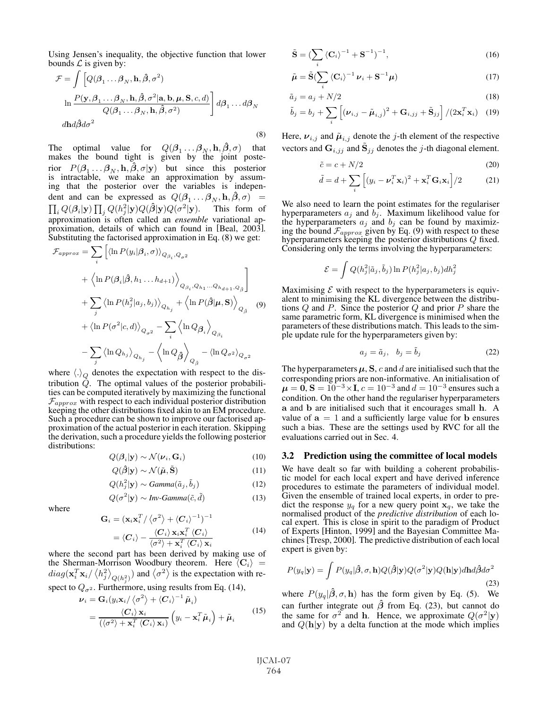Using Jensen's inequality, the objective function that lower bounds  $\mathcal L$  is given by:

$$
\mathcal{F} = \int \left[ Q(\beta_1 \dots \beta_N, \mathbf{h}, \hat{\beta}, \sigma^2) \right]
$$
  
\n
$$
\ln \frac{P(\mathbf{y}, \beta_1 \dots \beta_N, \mathbf{h}, \hat{\beta}, \sigma^2 | \mathbf{a}, \mathbf{b}, \boldsymbol{\mu}, \mathbf{S}, c, d)}{Q(\beta_1 \dots \beta_N, \mathbf{h}, \hat{\beta}, \sigma^2)} d\beta_1 \dots d\beta_N
$$
  
\n
$$
dh d\hat{\beta} d\sigma^2
$$
\n(8)

The optimal value for  $Q(\beta_1 \dots \beta_N, \mathbf{h}, \hat{\beta}, \sigma)$  that makes the bound tight is given by the joint posterior  $P(\beta_1 \dots \beta_N, \mathbf{h}, \hat{\beta}, \sigma | \mathbf{y})$  but since this posterior is intractable, we make an approximation by assuming that the posterior over the variables is independent and can be expressed as  $Q(\beta_1 \dots \beta_N, \mathbf{h}, \hat{\beta}, \sigma)$  =  $\prod_i Q(\boldsymbol{\beta}_i | \mathbf{y}) \prod_i Q(h_i^2 | \mathbf{y}) Q(\hat{\boldsymbol{\beta}} | \mathbf{y}) Q(\sigma^2 | \mathbf{y}).$  This form of approximation is often called an *ensemble* variational approximation, details of which can found in [Beal, 2003]. Substituting the factorised approximation in Eq. (8) we get:

$$
\mathcal{F}_{approx} = \sum_{i} \left[ \langle \ln P(y_i | \beta_i, \sigma) \rangle_{Q_{\beta_i}, Q_{\sigma^2}} \right]
$$
  
+ 
$$
\left\langle \ln P(\beta_i | \hat{\beta}, h_1 \dots h_{d+1}) \right\rangle_{Q_{\beta_i}, Q_{h_1} \dots Q_{h_{d+1}, Q_{\hat{\beta}}}}
$$
  
+ 
$$
\sum_{j} \langle \ln P(h_j^2 | a_j, b_j) \rangle_{Q_{h_j}} + \left\langle \ln P(\hat{\beta} | \boldsymbol{\mu}, \mathbf{S}) \right\rangle_{Q_{\hat{\beta}}}
$$
  
+ 
$$
\left\langle \ln P(\sigma^2 | c, d) \right\rangle_{Q_{\sigma^2}} - \sum_{i} \left\langle \ln Q_{\beta_i} \right\rangle_{Q_{\beta_i}}
$$
  
- 
$$
\sum_{j} \left\langle \ln Q_{h_j} \right\rangle_{Q_{h_j}} - \left\langle \ln Q_{\hat{\beta}} \right\rangle_{Q_{\hat{\beta}}} - \left\langle \ln Q_{\sigma^2} \right\rangle_{Q_{\sigma^2}}
$$

where  $\langle \cdot \rangle_Q$  denotes the expectation with respect to the distribution  $\check{Q}$ . The optimal values of the posterior probabilities can be computed iteratively by maximizing the functional  $\mathcal{F}_{approx}$  with respect to each individual posterior distribution keeping the other distributions fixed akin to an EM procedure. Such a procedure can be shown to improve our factorised approximation of the actual posterior in each iteration. Skipping the derivation, such a procedure yields the following posterior distributions:

$$
Q(\mathbf{\beta}_i|\mathbf{y}) \sim \mathcal{N}(\boldsymbol{\nu}_i, \mathbf{G}_i)
$$
 (10)

$$
Q(\hat{\beta}|\mathbf{y}) \sim \mathcal{N}(\tilde{\boldsymbol{\mu}}, \tilde{\mathbf{S}})
$$
 (11)

$$
Q(h_i^2|\mathbf{y}) \sim Gamma(\tilde{a}_j, \tilde{b}_j)
$$
 (12)

$$
Q(\sigma^2|\mathbf{y}) \sim Inv-Gamma(\tilde{c}, \tilde{d})
$$
 (13)

where

$$
\mathbf{G}_{i} = (\mathbf{x}_{i} \mathbf{x}_{i}^{T} / \langle \sigma^{2} \rangle + \langle C_{i} \rangle^{-1})^{-1}
$$
  
=  $\langle C_{i} \rangle - \frac{\langle C_{i} \rangle \mathbf{x}_{i} \mathbf{x}_{i}^{T} \langle C_{i} \rangle}{\langle \sigma^{2} \rangle + \mathbf{x}_{i}^{T} \langle C_{i} \rangle \mathbf{x}_{i}}$  (14)

where the second part has been derived by making use of the Sherman-Morrison Woodbury theorem. Here  $\langle \mathbf{C}_i \rangle$  =  $diag(\mathbf{x}_i^T \mathbf{x}_i / \langle h_j^2 \rangle_{Q(h_j^2)})$  and  $\langle \sigma^2 \rangle$  is the expectation with respect to  $Q_{\sigma^2}$ . Furthermore, using results from Eq. (14),

$$
\nu_{i} = \mathbf{G}_{i} (y_{i} \mathbf{x}_{i} / \langle \sigma^{2} \rangle + \langle \mathbf{C}_{i} \rangle^{-1} \tilde{\boldsymbol{\mu}}_{i})
$$
\n
$$
= \frac{\langle \mathbf{C}_{i} \rangle \mathbf{x}_{i}}{(\langle \sigma^{2} \rangle + \mathbf{x}_{i}^{T} \langle \mathbf{C}_{i} \rangle \mathbf{x}_{i})} (y_{i} - \mathbf{x}_{i}^{T} \tilde{\boldsymbol{\mu}}_{i}) + \tilde{\boldsymbol{\mu}}_{i}
$$
\n(15)

$$
\tilde{\mathbf{S}} = \left(\sum_{i} \left\langle \mathbf{C}_{i} \right\rangle^{-1} + \mathbf{S}^{-1}\right)^{-1},\tag{16}
$$

$$
\tilde{\boldsymbol{\mu}} = \tilde{\mathbf{S}} \left( \sum_{i} \left\langle \mathbf{C}_{i} \right\rangle^{-1} \boldsymbol{\nu}_{i} + \mathbf{S}^{-1} \boldsymbol{\mu} \right)
$$
\n(17)

$$
\tilde{a}_j = a_j + N/2 \tag{18}
$$

$$
\tilde{b}_j = b_j + \sum_i \left[ (\boldsymbol{\nu}_{i,j} - \tilde{\boldsymbol{\mu}}_{i,j})^2 + \mathbf{G}_{i,jj} + \tilde{\mathbf{S}}_{jj} \right] / (2\mathbf{x}_i^T \mathbf{x}_i) \quad (19)
$$

Here,  $v_{i,j}$  and  $\tilde{\mu}_{i,j}$  denote the *j*-th element of the respective vectors and  $\mathbf{G}_{i,jj}$  and  $\mathbf{S}_{jj}$  denotes the j-th diagonal element.

$$
\tilde{c} = c + N/2 \tag{20}
$$

$$
\tilde{d} = d + \sum_{i} \left[ (y_i - \boldsymbol{\nu}_i^T \mathbf{x}_i)^2 + \mathbf{x}_i^T \mathbf{G}_i \mathbf{x}_i \right] / 2 \tag{21}
$$

We also need to learn the point estimates for the regulariser hyperparameters  $a_j$  and  $b_j$ . Maximum likelihood value for the hyperparameters  $a_j$  and  $b_j$  can be found by maximizing the bound  $\mathcal{F}_{approx}$  given by Eq. (9) with respect to these hyperparameters keeping the posterior distributions Q fixed. Considering only the terms involving the hyperparameters:

$$
\mathcal{E} = \int Q(h_j^2 | \tilde{a}_j, \tilde{b}_j) \ln P(h_j^2 | a_j, b_j) dh_j^2
$$

Maximising  $\mathcal E$  with respect to the hyperparameters is equivalent to minimising the KL divergence between the distributions  $Q$  and  $P$ . Since the posterior  $Q$  and prior  $P$  share the same parametric form, KL divergence is minimised when the parameters of these distributions match. This leads to the simple update rule for the hyperparameters given by:

$$
a_j = \tilde{a}_j, \quad b_j = \tilde{b}_j \tag{22}
$$

The hyperparameters  $\mu$ , **S**, c and d are initialised such that the corresponding priors are non-informative. An initialisation of  $\mu = 0$ , **S** =  $10^{-3} \times I$ ,  $c = 10^{-3}$  and  $d = 10^{-3}$  ensures such a condition. On the other hand the regulariser hyperparameters **a** and **b** are initialised such that it encourages small **h**. A value of  $a = 1$  and a sufficiently large value for **b** ensures such a bias. These are the settings used by RVC for all the evaluations carried out in Sec. 4.

## 3.2 Prediction using the committee of local models

We have dealt so far with building a coherent probabilistic model for each local expert and have derived inference procedures to estimate the parameters of individual model. Given the ensemble of trained local experts, in order to predict the response  $y_q$  for a new query point  $x_q$ , we take the normalised product of the *predictive distribution* of each local expert. This is close in spirit to the paradigm of Product of Experts [Hinton, 1999] and the Bayesian Committee Machines[Tresp, 2000]. The predictive distribution of each local expert is given by:

$$
P(y_q|\mathbf{y}) = \int P(y_q|\hat{\boldsymbol{\beta}}, \sigma, \mathbf{h}) Q(\hat{\boldsymbol{\beta}}|\mathbf{y}) Q(\sigma^2|\mathbf{y}) Q(\mathbf{h}|\mathbf{y}) d\mathbf{h} d\hat{\boldsymbol{\beta}} d\sigma^2
$$
\n(23)

where  $P(y_q|\hat{\boldsymbol{\beta}}, \sigma, \mathbf{h})$  has the form given by Eq. (5). We can further integrate out **βˆ** from Eq. (23), but cannot do the same for  $\sigma^2$  and **h**. Hence, we approximate  $Q(\sigma^2|\mathbf{y})$ and  $Q(\mathbf{h}|\mathbf{y})$  by a delta function at the mode which implies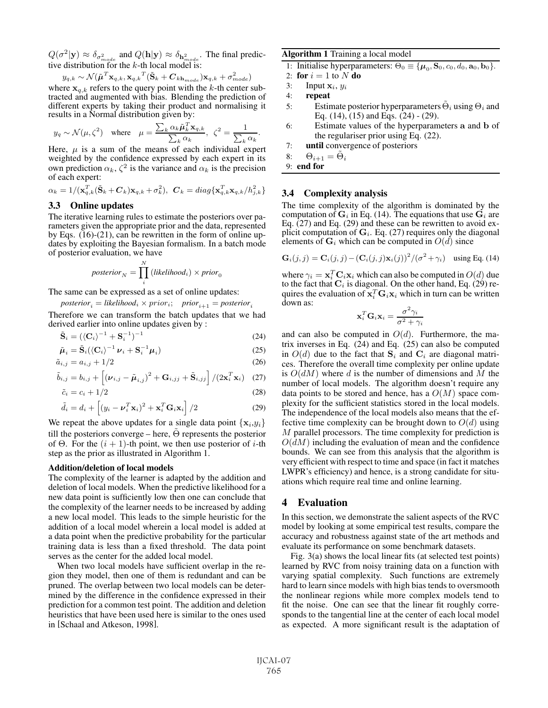$Q(\sigma^2|\mathbf{y}) \approx \delta_{\sigma^2_{mode}}$  and  $Q(\mathbf{h}|\mathbf{y}) \approx \delta_{\mathbf{h}^2_{mode}}$ . The final predictive distribution for the  $k$ -th local model is:

$$
y_{q,k} \sim \mathcal{N}(\tilde{\boldsymbol{\mu}}^T\mathbf{x}_{q,k}, \mathbf{x}_{q,k}^T(\tilde{\mathbf{S}}_k + \boldsymbol{C}_{k\mathbf{h}_{mode}})\mathbf{x}_{q,k} + \sigma_{mode}^2)
$$

where  $\mathbf{x}_{q,k}$  refers to the query point with the k-th center subtracted and augmented with bias. Blending the prediction of different experts by taking their product and normalising it results in a Normal distribution given by:

$$
y_q \sim \mathcal{N}(\mu, \zeta^2) \quad \text{where} \quad \mu = \frac{\sum_k \alpha_k \tilde{\pmb{\mu}}_k^T \mathbf{x}_{q,k}}{\sum_k \alpha_k}, \ \ \zeta^2 = \frac{1}{\sum_k \alpha_k}.
$$

Here,  $\mu$  is a sum of the means of each individual expert weighted by the confidence expressed by each expert in its own prediction  $\alpha_k$ ,  $\zeta^2$  is the variance and  $\alpha_k$  is the precision of each expert:

$$
\alpha_k = 1/(\mathbf{x}_{q,k}^T(\tilde{\mathbf{S}}_k + \boldsymbol{C}_k)\mathbf{x}_{q,k} + \sigma_k^2), \ \ \boldsymbol{C}_k = diag\{\mathbf{x}_{q,k}^T\mathbf{x}_{q,k}/h_{j,k}^2\}
$$

## 3.3 Online updates

The iterative learning rules to estimate the posteriors over parameters given the appropriate prior and the data, represented by Eqs. (16)-(21), can be rewritten in the form of online updates by exploiting the Bayesian formalism. In a batch mode of posterior evaluation, we have

$$
posterior_N = \prod_i^N (likelihood_i) \times prior_0
$$

The same can be expressed as a set of online updates:

$$
posterior_i = likelihood_i \times prior_i; \quad prior_{i+1} = posterior_i
$$

Therefore we can transform the batch updates that we had derived earlier into online updates given by :

$$
\tilde{\mathbf{S}}_i = (\langle \mathbf{C}_i \rangle^{-1} + \mathbf{S}_i^{-1})^{-1} \tag{24}
$$

$$
\tilde{\boldsymbol{\mu}}_i = \tilde{\mathbf{S}}_i (\langle \mathbf{C}_i \rangle^{-1} \boldsymbol{\nu}_i + \mathbf{S}_i^{-1} \boldsymbol{\mu}_i)
$$
\n(25)

$$
\tilde{a}_{i,j} = a_{i,j} + 1/2 \tag{26}
$$

$$
\tilde{b}_{i,j} = b_{i,j} + \left[ (\boldsymbol{\nu}_{i,j} - \tilde{\boldsymbol{\mu}}_{i,j})^2 + \mathbf{G}_{i,jj} + \tilde{\mathbf{S}}_{i,jj} \right] / (2\mathbf{x}_i^T \mathbf{x}_i) \quad (27)
$$

$$
\tilde{c}_i = c_i + 1/2 \tag{28}
$$

$$
\tilde{d}_i = d_i + \left[ (y_i - \boldsymbol{\nu}_i^T \mathbf{x}_i)^2 + \mathbf{x}_i^T \mathbf{G}_i \mathbf{x}_i \right] / 2
$$
 (29)

We repeat the above updates for a single data point  $\{x_i, y_i\}$ till the posteriors converge – here,  $\Theta$  represents the posterior of  $\Theta$ . For the  $(i + 1)$ -th point, we then use posterior of *i*-th step as the prior as illustrated in Algorithm 1.

#### Addition/deletion of local models

The complexity of the learner is adapted by the addition and deletion of local models. When the predictive likelihood for a new data point is sufficiently low then one can conclude that the complexity of the learner needs to be increased by adding a new local model. This leads to the simple heuristic for the addition of a local model wherein a local model is added at a data point when the predictive probability for the particular training data is less than a fixed threshold. The data point serves as the center for the added local model.

When two local models have sufficient overlap in the region they model, then one of them is redundant and can be pruned. The overlap between two local models can be determined by the difference in the confidence expressed in their prediction for a common test point. The addition and deletion heuristics that have been used here is similar to the ones used in [Schaal and Atkeson, 1998].

#### Algorithm 1 Training a local model

1: Initialise hyperparameters:  $\Theta_0 \equiv {\mu_0, \mathbf{S}_0, c_0, d_0, \mathbf{a}_0, \mathbf{b}_0}.$ 

2: for  $i = 1$  to N do

- 3: Input  $\mathbf{x}_i$ ,  $y_i$
- 4: repeat
- 5: Estimate posterior hyperparameters  $\Theta_i$  using  $\Theta_i$  and Eq. (14), (15) and Eqs. (24) - (29).
- 6: Estimate values of the hyperparameters **a** and **b** of the regulariser prior using Eq. (22).

7: until convergence of posteriors

- 8:  $\Theta_{i+1} = \Theta_i$
- 9: end for

#### 3.4 Complexity analysis

The time complexity of the algorithm is dominated by the computation of  $G_i$  in Eq. (14). The equations that use  $G_i$  are Eq. (27) and Eq. (29) and these can be rewritten to avoid explicit computation of  $\mathbf{G}_i$ . Eq. (27) requires only the diagonal elements of  $G_i$  which can be computed in  $O(d)$  since

$$
\mathbf{G}_i(j,j) = \mathbf{C}_i(j,j) - (\mathbf{C}_i(j,j)\mathbf{x}_i(j))^2/(\sigma^2 + \gamma_i) \quad \text{using Eq. (14)}
$$

where  $\gamma_i = \mathbf{x}_i^T \mathbf{C}_i \mathbf{x}_i$  which can also be computed in  $O(d)$  due to the fact that  $\mathbf{C}_i$  is diagonal. On the other hand, Eq. (29) requires the evaluation of  $\mathbf{x}_i^T \mathbf{G}_i \mathbf{x}_i$  which in turn can be written down as:

$$
\mathbf{x}_i^T \mathbf{G}_i \mathbf{x}_i = \frac{\sigma^2 \gamma_i}{\sigma^2 + \gamma_i}
$$

and can also be computed in  $O(d)$ . Furthermore, the matrix inverses in Eq. (24) and Eq. (25) can also be computed in  $O(d)$  due to the fact that  $S_i$  and  $C_i$  are diagonal matrices. Therefore the overall time complexity per online update is  $O(dM)$  where d is the number of dimensions and M the number of local models. The algorithm doesn't require any data points to be stored and hence, has a  $O(M)$  space complexity for the sufficient statistics stored in the local models. The independence of the local models also means that the effective time complexity can be brought down to  $O(d)$  using M parallel processors. The time complexity for prediction is  $O(dM)$  including the evaluation of mean and the confidence bounds. We can see from this analysis that the algorithm is very efficient with respect to time and space (in fact it matches LWPR's efficiency) and hence, is a strong candidate for situations which require real time and online learning.

#### 4 Evaluation

In this section, we demonstrate the salient aspects of the RVC model by looking at some empirical test results, compare the accuracy and robustness against state of the art methods and evaluate its performance on some benchmark datasets.

Fig. 3(a) shows the local linear fits (at selected test points) learned by RVC from noisy training data on a function with varying spatial complexity. Such functions are extremely hard to learn since models with high bias tends to oversmooth the nonlinear regions while more complex models tend to fit the noise. One can see that the linear fit roughly corresponds to the tangential line at the center of each local model as expected. A more significant result is the adaptation of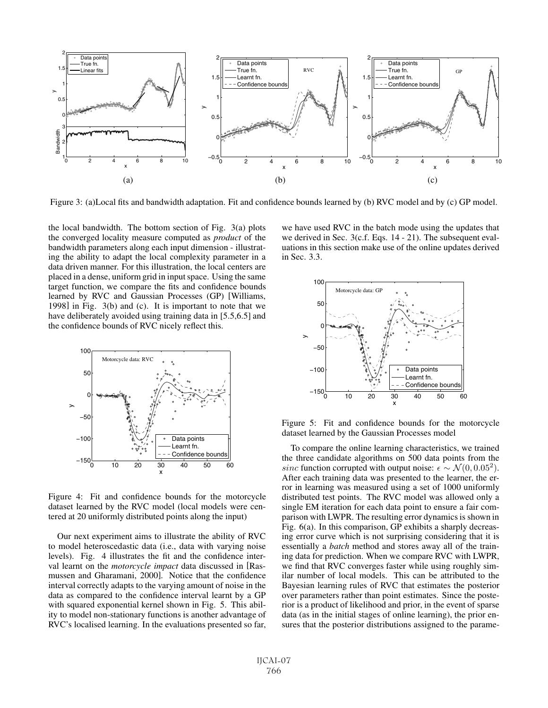

Figure 3: (a)Local fits and bandwidth adaptation. Fit and confidence bounds learned by (b) RVC model and by (c) GP model.

the local bandwidth. The bottom section of Fig. 3(a) plots the converged locality measure computed as *product* of the bandwidth parameters along each input dimension - illustrating the ability to adapt the local complexity parameter in a data driven manner. For this illustration, the local centers are placed in a dense, uniform grid in input space. Using the same target function, we compare the fits and confidence bounds learned by RVC and Gaussian Processes (GP) [Williams, 1998] in Fig. 3(b) and (c). It is important to note that we have deliberately avoided using training data in [5.5,6.5] and the confidence bounds of RVC nicely reflect this.



Figure 4: Fit and confidence bounds for the motorcycle dataset learned by the RVC model (local models were centered at 20 uniformly distributed points along the input)

Our next experiment aims to illustrate the ability of RVC to model heteroscedastic data (i.e., data with varying noise levels). Fig. 4 illustrates the fit and the confidence interval learnt on the *motorcycle impact* data discussed in [Rasmussen and Gharamani, 2000]. Notice that the confidence interval correctly adapts to the varying amount of noise in the data as compared to the confidence interval learnt by a GP with squared exponential kernel shown in Fig. 5. This ability to model non-stationary functions is another advantage of RVC's localised learning. In the evaluations presented so far, we have used RVC in the batch mode using the updates that we derived in Sec. 3(c.f. Eqs. 14 - 21). The subsequent evaluations in this section make use of the online updates derived in Sec. 3.3.



Figure 5: Fit and confidence bounds for the motorcycle dataset learned by the Gaussian Processes model

To compare the online learning characteristics, we trained the three candidate algorithms on 500 data points from the sinc function corrupted with output noise:  $\epsilon \sim \mathcal{N}(0, 0.05^2)$ . After each training data was presented to the learner, the error in learning was measured using a set of 1000 uniformly distributed test points. The RVC model was allowed only a single EM iteration for each data point to ensure a fair comparison with LWPR. The resulting error dynamics is shown in Fig. 6(a). In this comparison, GP exhibits a sharply decreasing error curve which is not surprising considering that it is essentially a *batch* method and stores away all of the training data for prediction. When we compare RVC with LWPR, we find that RVC converges faster while using roughly similar number of local models. This can be attributed to the Bayesian learning rules of RVC that estimates the posterior over parameters rather than point estimates. Since the posterior is a product of likelihood and prior, in the event of sparse data (as in the initial stages of online learning), the prior ensures that the posterior distributions assigned to the parame-